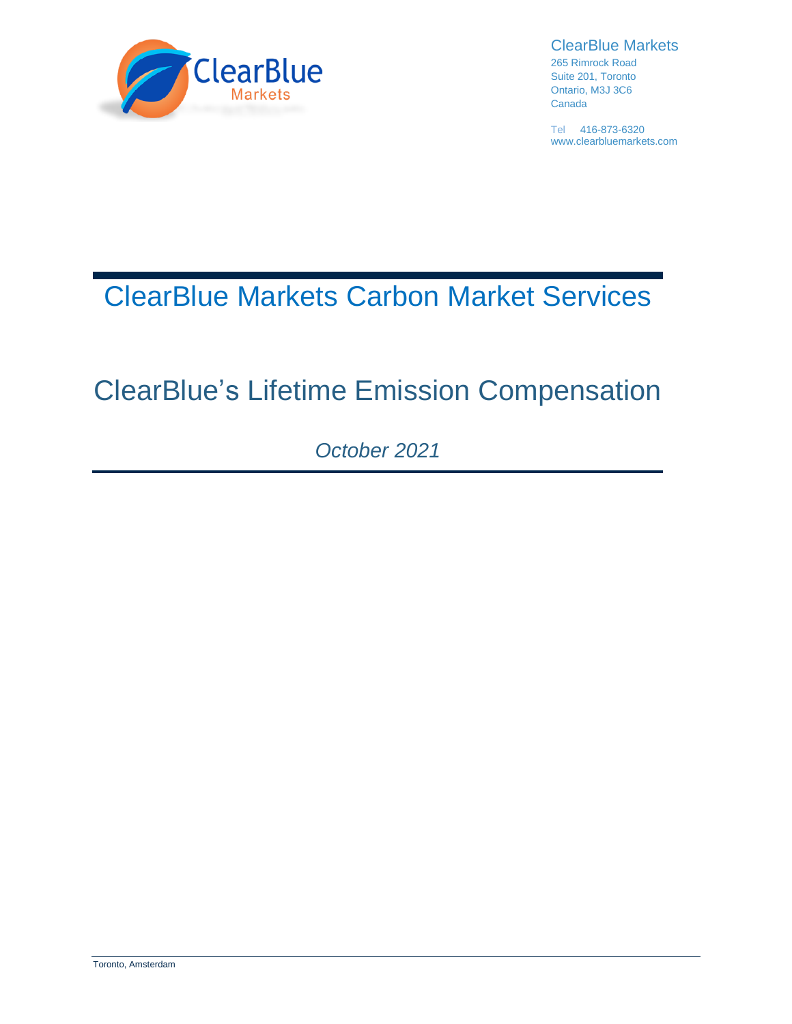

ClearBlue Markets

265 Rimrock Road Suite 201, Toronto Ontario, M3J 3C6 Canada

Tel 416-873-6320 www.clearbluemarkets.com

# ClearBlue Markets Carbon Market Services

# ClearBlue's Lifetime Emission Compensation

*October 2021*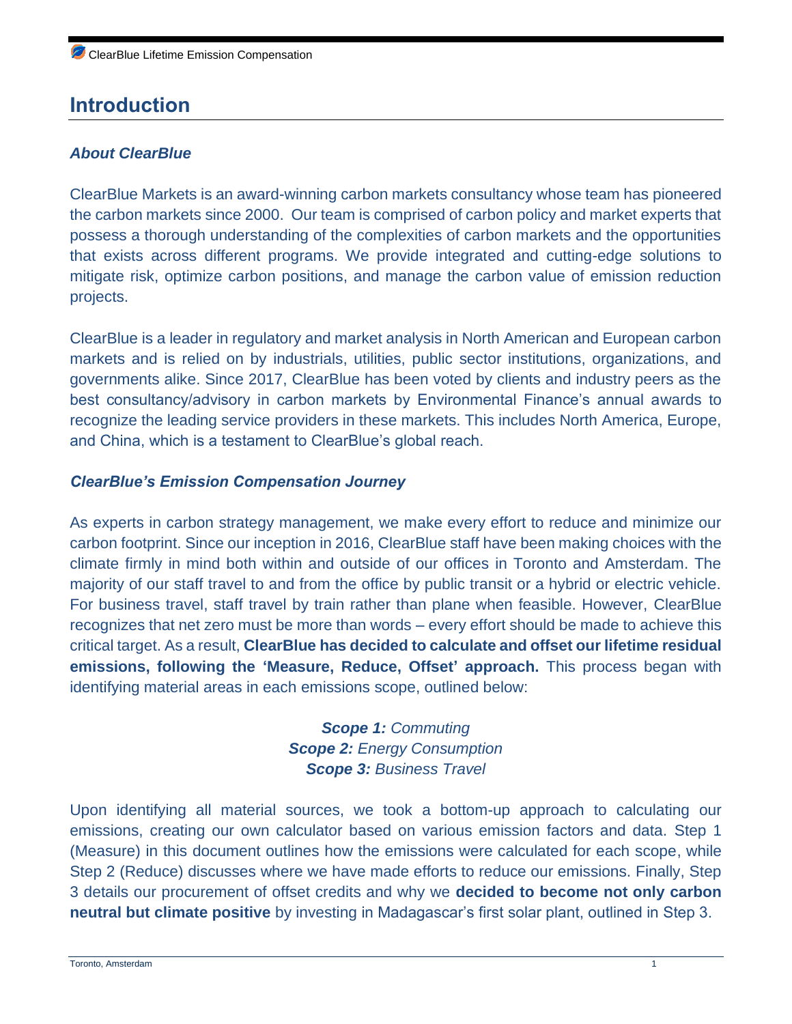# **Introduction**

#### *About ClearBlue*

ClearBlue Markets is an award-winning carbon markets consultancy whose team has pioneered the carbon markets since 2000. Our team is comprised of carbon policy and market experts that possess a thorough understanding of the complexities of carbon markets and the opportunities that exists across different programs. We provide integrated and cutting-edge solutions to mitigate risk, optimize carbon positions, and manage the carbon value of emission reduction projects.

ClearBlue is a leader in regulatory and market analysis in North American and European carbon markets and is relied on by industrials, utilities, public sector institutions, organizations, and governments alike. Since 2017, ClearBlue has been voted by clients and industry peers as the best consultancy/advisory in carbon markets by Environmental Finance's annual awards to recognize the leading service providers in these markets. This includes North America, Europe, and China, which is a testament to ClearBlue's global reach.

#### *ClearBlue's Emission Compensation Journey*

As experts in carbon strategy management, we make every effort to reduce and minimize our carbon footprint. Since our inception in 2016, ClearBlue staff have been making choices with the climate firmly in mind both within and outside of our offices in Toronto and Amsterdam. The majority of our staff travel to and from the office by public transit or a hybrid or electric vehicle. For business travel, staff travel by train rather than plane when feasible. However, ClearBlue recognizes that net zero must be more than words – every effort should be made to achieve this critical target. As a result, **ClearBlue has decided to calculate and offset our lifetime residual emissions, following the 'Measure, Reduce, Offset' approach.** This process began with identifying material areas in each emissions scope, outlined below:

#### *Scope 1: Commuting Scope 2: Energy Consumption Scope 3: Business Travel*

Upon identifying all material sources, we took a bottom-up approach to calculating our emissions, creating our own calculator based on various emission factors and data. Step 1 (Measure) in this document outlines how the emissions were calculated for each scope, while Step 2 (Reduce) discusses where we have made efforts to reduce our emissions. Finally, Step 3 details our procurement of offset credits and why we **decided to become not only carbon neutral but climate positive** by investing in Madagascar's first solar plant, outlined in Step 3.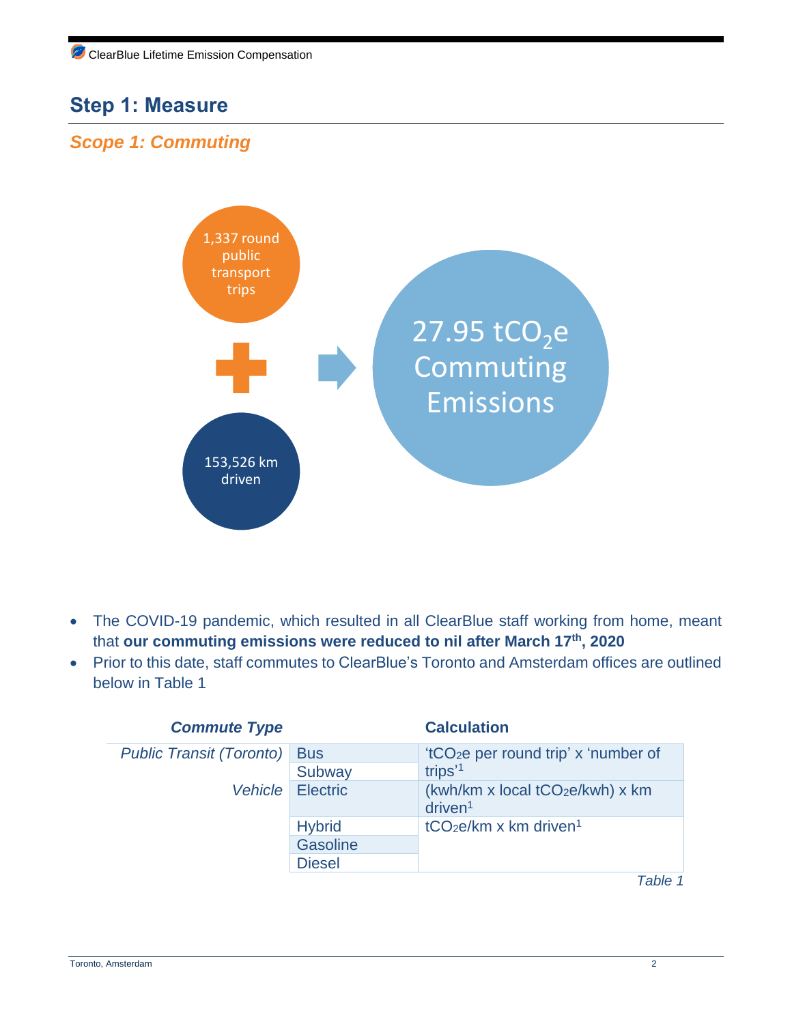# **Step 1: Measure**

### *Scope 1: Commuting*



- The COVID-19 pandemic, which resulted in all ClearBlue staff working from home, meant that **our commuting emissions were reduced to nil after March 17th, 2020**
- Prior to this date, staff commutes to ClearBlue's Toronto and Amsterdam offices are outlined below in Table 1

| <b>Commute Type</b>             |                 | <b>Calculation</b>                                                      |
|---------------------------------|-----------------|-------------------------------------------------------------------------|
| <b>Public Transit (Toronto)</b> | <b>Bus</b>      | 'tCO <sub>2</sub> e per round trip' x 'number of<br>trips' <sup>1</sup> |
|                                 | Subway          |                                                                         |
| Vehicle                         | <b>Electric</b> | (kwh/km x local tCO <sub>2</sub> e/kwh) x km<br>driven <sup>1</sup>     |
|                                 | <b>Hybrid</b>   | $tCO2e/km x km$ driven <sup>1</sup>                                     |
|                                 | Gasoline        |                                                                         |
|                                 | <b>Diesel</b>   |                                                                         |
|                                 |                 | Table 1                                                                 |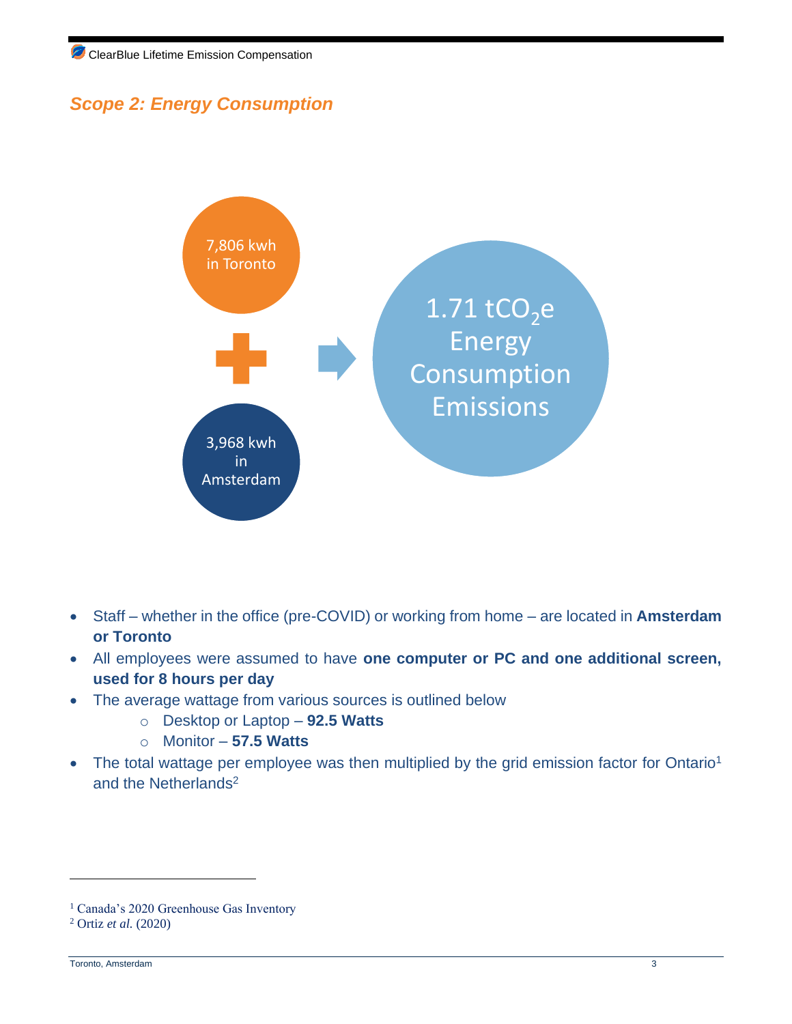## *Scope 2: Energy Consumption*



- Staff whether in the office (pre-COVID) or working from home are located in **Amsterdam or Toronto**
- All employees were assumed to have **one computer or PC and one additional screen, used for 8 hours per day**
- The average wattage from various sources is outlined below
	- o Desktop or Laptop **92.5 Watts**
	- o Monitor **57.5 Watts**
- The total wattage per employee was then multiplied by the grid emission factor for Ontario<sup>1</sup> and the Netherlands<sup>2</sup>

<sup>&</sup>lt;sup>1</sup> Canada's 2020 Greenhouse Gas Inventory

<sup>2</sup> Ortiz *et al.* (2020)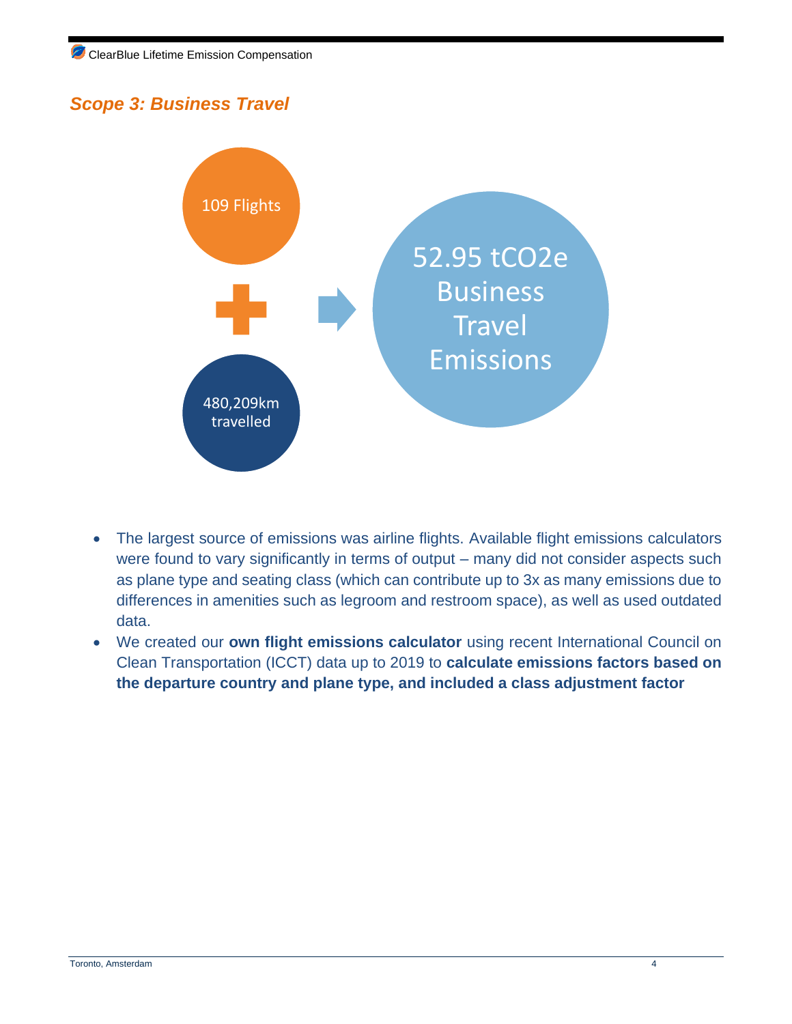### *Scope 3: Business Travel*



- The largest source of emissions was airline flights. Available flight emissions calculators were found to vary significantly in terms of output – many did not consider aspects such as plane type and seating class (which can contribute up to 3x as many emissions due to differences in amenities such as legroom and restroom space), as well as used outdated data.
- We created our **own flight emissions calculator** using recent International Council on Clean Transportation (ICCT) data up to 2019 to **calculate emissions factors based on the departure country and plane type, and included a class adjustment factor**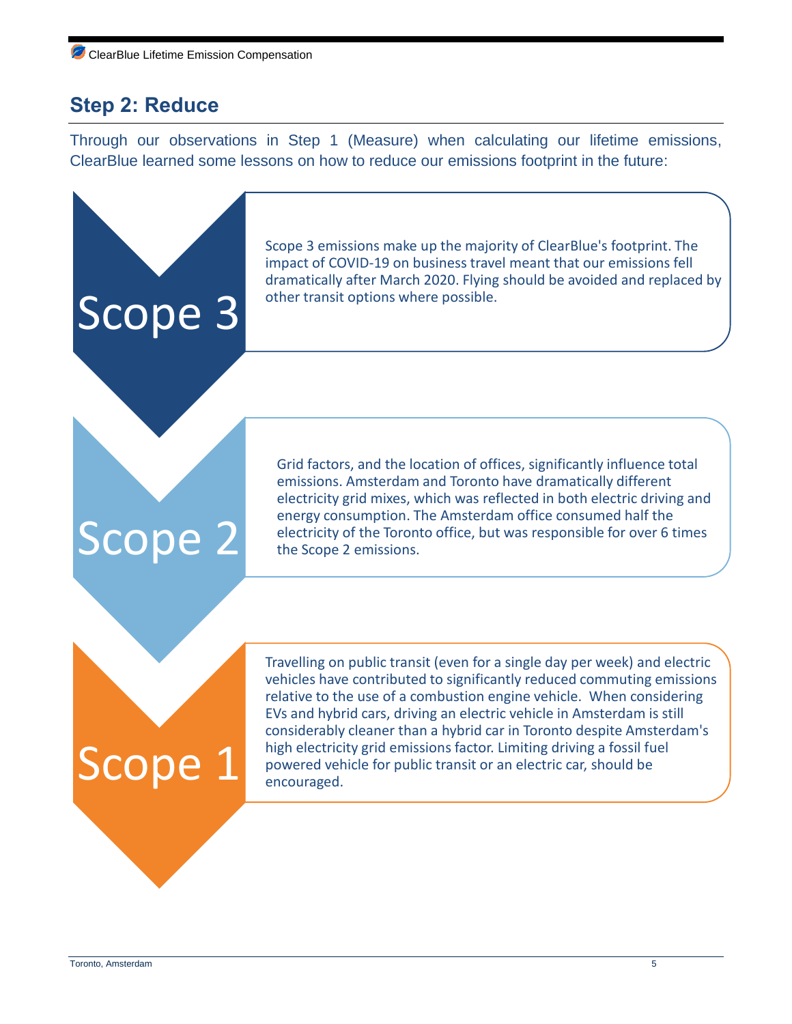## **Step 2: Reduce**

Through our observations in Step 1 (Measure) when calculating our lifetime emissions, ClearBlue learned some lessons on how to reduce our emissions footprint in the future:

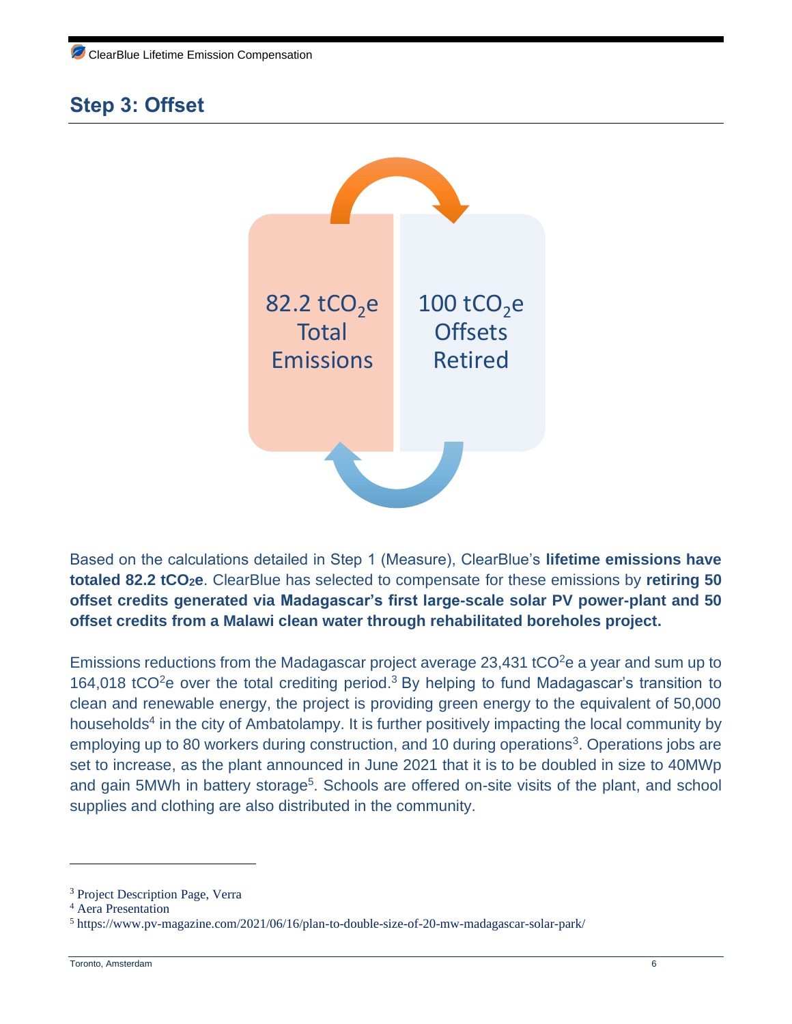# **Step 3: Offset**



Based on the calculations detailed in Step 1 (Measure), ClearBlue's **lifetime emissions have totaled 82.2 tCO2e**. ClearBlue has selected to compensate for these emissions by **retiring 50 offset credits generated via Madagascar's first large-scale solar PV power-plant and 50 offset credits from a Malawi clean water through rehabilitated boreholes project.**

Emissions reductions from the Madagascar project average 23,431 tCO $2e$  a year and sum up to 164,018 tCO<sup>2</sup>e over the total crediting period.<sup>3</sup> By helping to fund Madagascar's transition to clean and renewable energy, the project is providing green energy to the equivalent of 50,000 households<sup>4</sup> in the city of Ambatolampy. It is further positively impacting the local community by employing up to 80 workers during construction, and 10 during operations<sup>3</sup>. Operations jobs are set to increase, as the plant announced in June 2021 that it is to be doubled in size to 40MWp and gain 5MWh in battery storage<sup>5</sup>. Schools are offered on-site visits of the plant, and school supplies and clothing are also distributed in the community.

<sup>3</sup> Project Description Page, Verra

<sup>4</sup> Aera Presentation

<sup>5</sup> https://www.pv-magazine.com/2021/06/16/plan-to-double-size-of-20-mw-madagascar-solar-park/